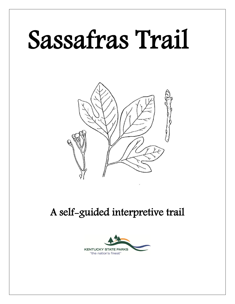# Sassafras Trail



## A self-guided interpretive trail

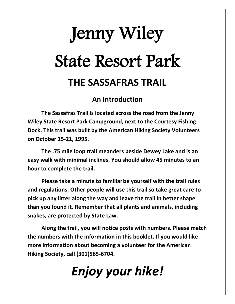## Jenny Wiley State Resort Park **THE SASSAFRAS TRAIL**

#### **An Introduction**

**The Sassafras Trail is located across the road from the Jenny Wiley State Resort Park Campground, next to the Courtesy Fishing Dock. This trail was built by the American Hiking Society Volunteers on October 15-21, 1995.**

**The .75 mile loop trail meanders beside Dewey Lake and is an easy walk with minimal inclines. You should allow 45 minutes to an hour to complete the trail.**

**Please take a minute to familiarize yourself with the trail rules and regulations. Other people will use this trail so take great care to pick up any litter along the way and leave the trail in better shape than you found it. Remember that all plants and animals, including snakes, are protected by State Law.**

**Along the trail, you will notice posts with numbers. Please match the numbers with the information in this booklet. If you would like more information about becoming a volunteer for the American Hiking Society, call (301)565-6704.**

## *Enjoy your hike!*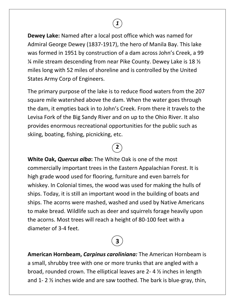**Dewey Lake:** Named after a local post office which was named for Admiral George Dewey (1837-1917), the hero of Manila Bay. This lake was formed in 1951 by construction of a dam across John's Creek, a 99 ¼ mile stream descending from near Pike County. Dewey Lake is 18 ½ miles long with 52 miles of shoreline and is controlled by the United States Army Corp of Engineers.

*1*

The primary purpose of the lake is to reduce flood waters from the 207 square mile watershed above the dam. When the water goes through the dam, it empties back in to John's Creek. From there it travels to the Levisa Fork of the Big Sandy River and on up to the Ohio River. It also provides enormous recreational opportunities for the public such as skiing, boating, fishing, picnicking, etc.

### **2**

**White Oak,** *Quercus alba***:** The White Oak is one of the most commercially important trees in the Eastern Appalachian Forest. It is high grade wood used for flooring, furniture and even barrels for whiskey. In Colonial times, the wood was used for making the hulls of ships. Today, it is still an important wood in the building of boats and ships. The acorns were mashed, washed and used by Native Americans to make bread. Wildlife such as deer and squirrels forage heavily upon the acorns. Most trees will reach a height of 80-100 feet with a diameter of 3-4 feet.

## **3**

**American Hornbeam,** *Carpinus caroliniana:* The American Hornbeam is a small, shrubby tree with one or more trunks that are angled with a broad, rounded crown. The elliptical leaves are 2- 4 ½ inches in length and 1- 2 ½ inches wide and are saw toothed. The bark is blue-gray, thin,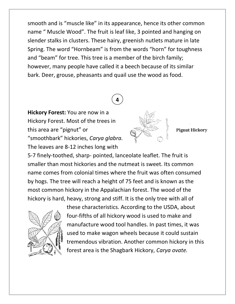smooth and is "muscle like" in its appearance, hence its other common name " Muscle Wood". The fruit is leaf like, 3 pointed and hanging on slender stalks in clusters. These hairy, greenish nutlets mature in late Spring. The word "Hornbeam" is from the words "horn" for toughness and "beam" for tree. This tree is a member of the birch family; however, many people have called it a beech because of its similar bark. Deer, grouse, pheasants and quail use the wood as food.

## **4**

**Hickory Forest:** You are now in a Hickory Forest. Most of the trees in this area are "pignut" or "smoothbark" hickories, *Carya glabra.*  The leaves are 8-12 inches long with



**Pignut Hickory** 

5-7 finely-toothed, sharp- pointed, lanceolate leaflet. The fruit is smaller than most hickories and the nutmeat is sweet. Its common name comes from colonial times where the fruit was often consumed by hogs. The tree will reach a height of 75 feet and is known as the most common hickory in the Appalachian forest. The wood of the hickory is hard, heavy, strong and stiff. It is the only tree with all of



these characteristics. According to the USDA, about four-fifths of all hickory wood is used to make and manufacture wood tool handles. In past times, it was used to make wagon wheels because it could sustain tremendous vibration. Another common hickory in this forest area is the Shagbark Hickory, *Carya ovate.*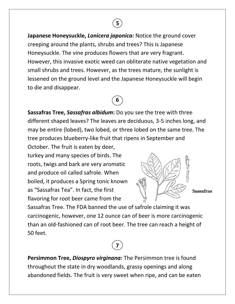**Japanese Honeysuckle,** *Lonicera japonica:* Notice the ground cover creeping around the plants, shrubs and trees? This is Japanese Honeysuckle. The vine produces flowers that are very fragrant. However, this invasive exotic weed can obliterate native vegetation and small shrubs and trees. However, as the trees mature, the sunlight is lessened on the ground level and the Japanese Honeysuckle will begin to die and disappear.

 **5**

## **6**

**Sassafras Tree,** *Sassafras albidum***:** Do you see the tree with three different shaped leaves? The leaves are deciduous, 3-5 inches long, and may be entire (lobed), two lobed, or three lobed on the same tree. The tree produces blueberry-like fruit that ripens in September and October. The fruit is eaten by deer,

turkey and many species of birds. The roots, twigs and bark are very aromatic and produce oil called safrole. When boiled, it produces a Spring tonic known as "Sassafras Tea". In fact, the first flavoring for root beer came from the



**Sassafras** 

Sassafras Tree. The FDA banned the use of safrole claiming it was carcinogenic, however, one 12 ounce can of beer is more carcinogenic than an old-fashioned can of root beer. The tree can reach a height of 50 feet.

### **7**

**Persimmon Tree,** *Diospyro virginana:* The Persimmon tree is found throughout the state in dry woodlands, grassy openings and along abandoned fields. The fruit is very sweet when ripe, and can be eaten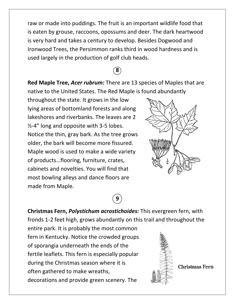raw or made into puddings. The fruit is an important wildlife food that is eaten by grouse, raccoons, opossums and deer. The dark heartwood is very hard and takes a century to develop. Besides Dogwood and Ironwood Trees, the Persimmon ranks third in wood hardness and is used largely in the production of golf club heads.

### **8**

**Red Maple Tree,** *Acer rubrum:* There are 13 species of Maples that are native to the United States. The Red Maple is found abundantly

throughout the state. It grows in the low lying areas of bottomland forests and along lakeshores and riverbanks. The leaves are 2 ½-4" long and opposite with 3-5 lobes. Notice the thin, gray bark. As the tree grows older, the bark will become more fissured. Maple wood is used to make a wide variety of products…flooring, furniture, crates, cabinets and novelties. You will find that most bowling alleys and dance floors are made from Maple.



**Christmas Fern,** *Polystichum acrostichoides:* This evergreen fern, with fronds 1-2 feet high, grows abundantly on this trail and throughout the

**9**

entire park. It is probably the most common fern in Kentucky. Notice the crowded groups of sporangia underneath the ends of the fertile leaflets. This fern is especially popular during the Christmas season where it is often gathered to make wreaths, decorations and provide green scenery. The



**Christmas Fern**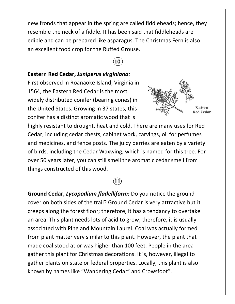new fronds that appear in the spring are called fiddleheads; hence, they resemble the neck of a fiddle. It has been said that fiddleheads are edible and can be prepared like asparagus. The Christmas Fern is also an excellent food crop for the Ruffed Grouse.

#### **10**

#### **Eastern Red Cedar,** *Juniperus virginiana:*

First observed in Roanaoke Island, Virginia in 1564, the Eastern Red Cedar is the most widely distributed conifer (bearing cones) in the United States. Growing in 37 states, this conifer has a distinct aromatic wood that is



highly resistant to drought, heat and cold. There are many uses for Red Cedar, including cedar chests, cabinet work, carvings, oil for perfumes and medicines, and fence posts. The juicy berries are eaten by a variety of birds, including the Cedar Waxwing, which is named for this tree. For over 50 years later, you can still smell the aromatic cedar smell from things constructed of this wood.

#### **11**

**Ground Cedar,** *Lycopodium fladelliform:* Do you notice the ground cover on both sides of the trail? Ground Cedar is very attractive but it creeps along the forest floor; therefore, it has a tendancy to overtake an area. This plant needs lots of acid to grow; therefore, it is usually associated with Pine and Mountain Laurel. Coal was actually formed from plant matter very similar to this plant. However, the plant that made coal stood at or was higher than 100 feet. People in the area gather this plant for Christmas decorations. It is, however, illegal to gather plants on state or federal properties. Locally, this plant is also known by names like "Wandering Cedar" and Crowsfoot".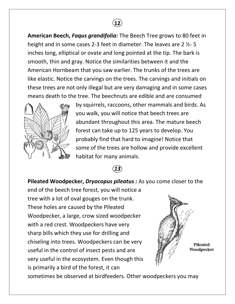

**American Beech,** *Faqus grandifolia:* The Beech Tree grows to 80 feet in height and in some cases 2-3 feet in diameter. The leaves are 2 ½- 5 inches long, elliptical or ovate and long pointed at the tip. The bark is smooth, thin and gray. Notice the similarities between it and the American Hornbeam that you saw earlier. The trunks of the trees are like elastic. Notice the carvings on the trees. The carvings and initials on these trees are not only illegal but are very damaging and in some cases means death to the tree. The beechnuts are edible and are consumed



by squirrels, raccoons, other mammals and birds. As you walk, you will notice that beech trees are abundant throughout this area. The mature beech forest can take up to 125 years to develop. You probably find that hard to imagine! Notice that some of the trees are hollow and provide excellent habitat for many animals.

#### *13*

#### **Pileated Woodpecker,** *Dryocopus pileatus :* As you come closer to the

end of the beech tree forest, you will notice a tree with a lot of oval gouges on the trunk. These holes are caused by the Pileated Woodpecker, a large, crow sized woodpecker with a red crest. Woodpeckers have very sharp bills which they use for drilling and chiseling into trees. Woodpeckers can be very useful in the control of insect pests and are very useful in the ecosystem. Even though this is primarily a bird of the forest, it can



sometimes be observed at birdfeeders. Other woodpeckers you may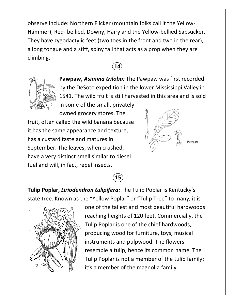observe include: Northern Flicker (mountain folks call it the Yellow-Hammer), Red- bellied, Downy, Hairy and the Yellow-bellied Sapsucker. They have zygodactylic feet (two toes in the front and two in the rear), a long tongue and a stiff, spiny tail that acts as a prop when they are climbing.





**Pawpaw,** *Asimina triloba:* The Pawpaw was first recorded by the DeSoto expedition in the lower Mississippi Valley in 1541. The wild fruit is still harvested in this area and is sold in some of the small, privately

owned grocery stores. The fruit, often called the wild banana because it has the same appearance and texture, has a custard taste and matures in September. The leaves, when crushed, have a very distinct smell similar to diesel fuel and will, in fact, repel insects.



Pawpaw



**Tulip Poplar,** *Liriodendron tulipifera:* The Tulip Poplar is Kentucky's state tree. Known as the "Yellow Poplar" or "Tulip Tree" to many, it is



one of the tallest and most beautiful hardwoods reaching heights of 120 feet. Commercially, the Tulip Poplar is one of the chief hardwoods, producing wood for furniture, toys, musical instruments and pulpwood. The flowers resemble a tulip, hence its common name. The Tulip Poplar is not a member of the tulip family; it's a member of the magnolia family.